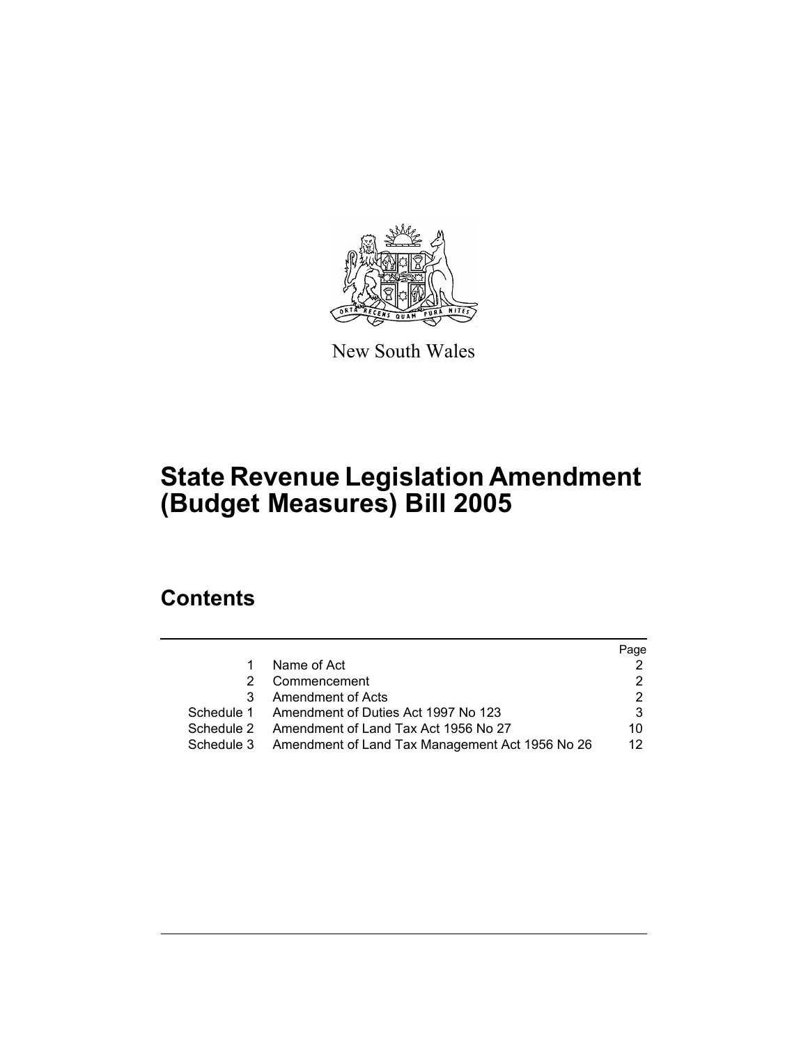

New South Wales

# **State Revenue Legislation Amendment (Budget Measures) Bill 2005**

# **Contents**

|   |                                                            | Page |
|---|------------------------------------------------------------|------|
| 1 | Name of Act                                                |      |
| 2 | Commencement                                               |      |
| 3 | Amendment of Acts                                          |      |
|   | Schedule 1 Amendment of Duties Act 1997 No 123             |      |
|   | Schedule 2 Amendment of Land Tax Act 1956 No 27            | 10   |
|   | Schedule 3 Amendment of Land Tax Management Act 1956 No 26 | 12   |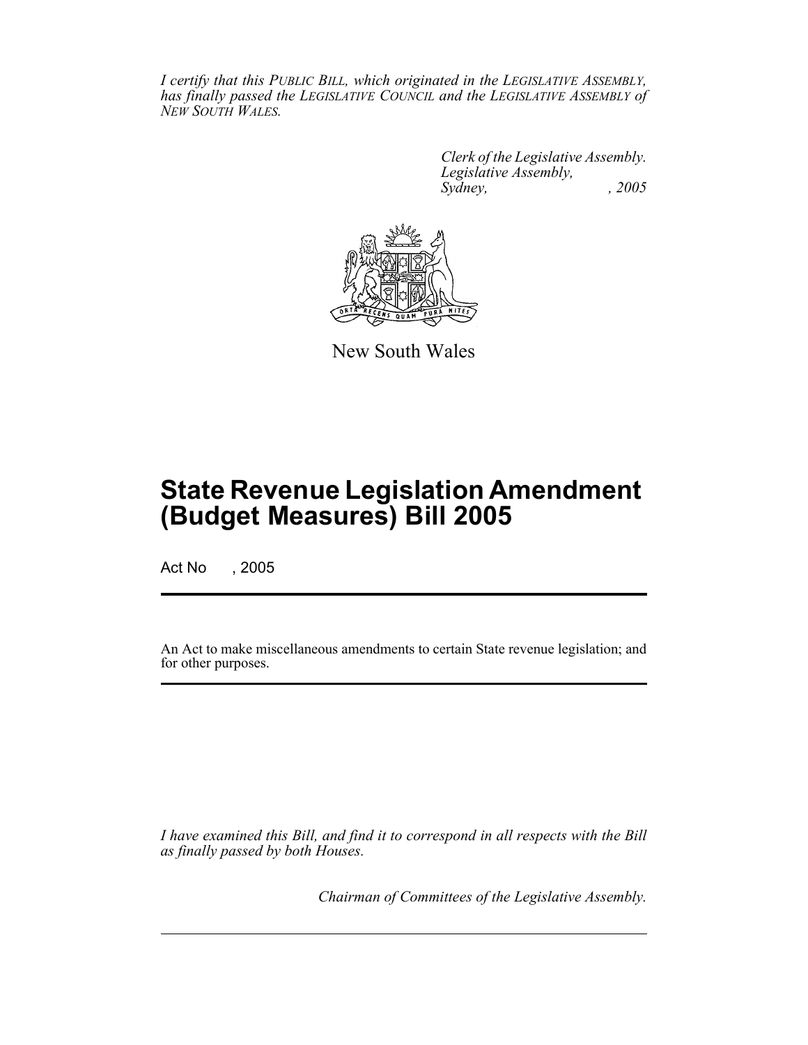*I certify that this PUBLIC BILL, which originated in the LEGISLATIVE ASSEMBLY, has finally passed the LEGISLATIVE COUNCIL and the LEGISLATIVE ASSEMBLY of NEW SOUTH WALES.*

> *Clerk of the Legislative Assembly. Legislative Assembly, Sydney, , 2005*



New South Wales

# **State Revenue Legislation Amendment (Budget Measures) Bill 2005**

Act No , 2005

An Act to make miscellaneous amendments to certain State revenue legislation; and for other purposes.

*I have examined this Bill, and find it to correspond in all respects with the Bill as finally passed by both Houses.*

*Chairman of Committees of the Legislative Assembly.*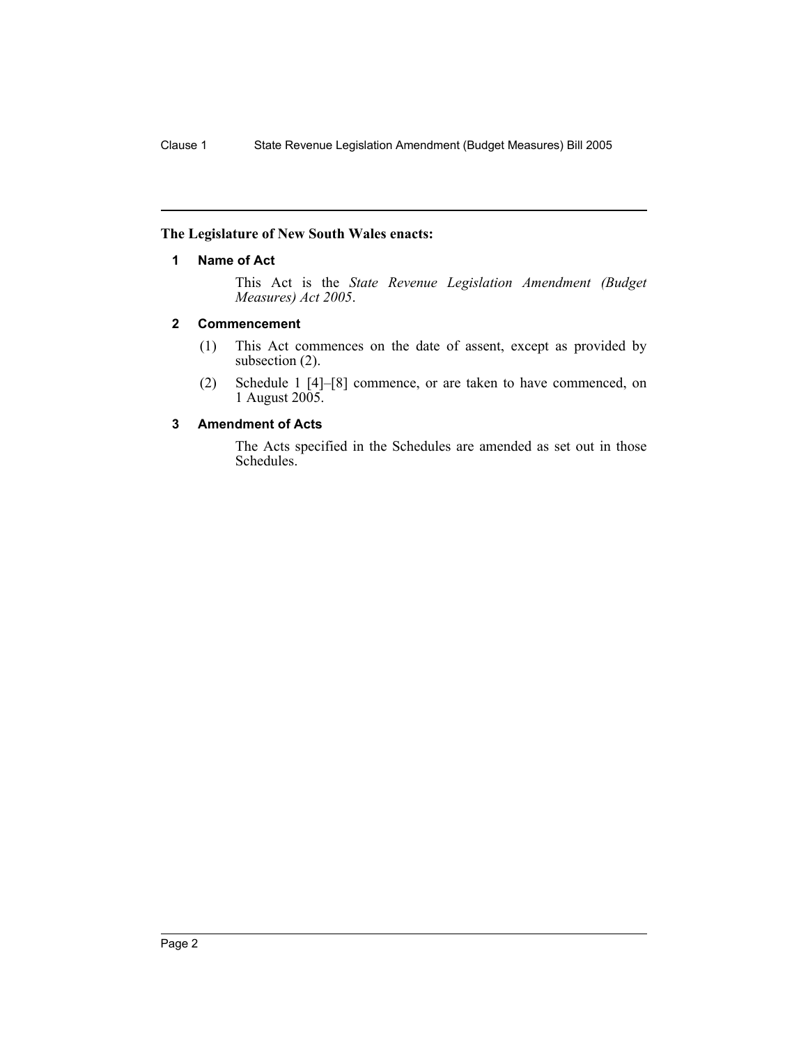#### **The Legislature of New South Wales enacts:**

#### **1 Name of Act**

This Act is the *State Revenue Legislation Amendment (Budget Measures) Act 2005*.

#### **2 Commencement**

- (1) This Act commences on the date of assent, except as provided by subsection (2).
- (2) Schedule 1 [4]–[8] commence, or are taken to have commenced, on 1 August 2005.

#### **3 Amendment of Acts**

The Acts specified in the Schedules are amended as set out in those Schedules.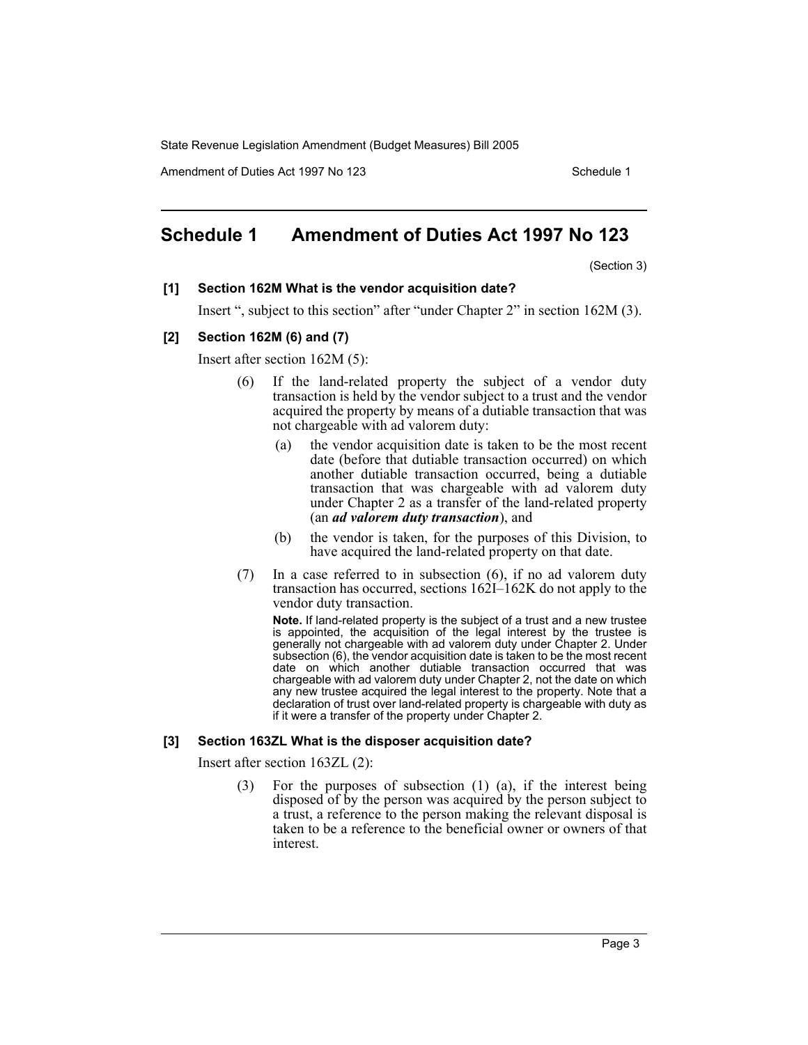Amendment of Duties Act 1997 No 123 Schedule 1

## **Schedule 1 Amendment of Duties Act 1997 No 123**

(Section 3)

#### **[1] Section 162M What is the vendor acquisition date?**

Insert ", subject to this section" after "under Chapter 2" in section 162M (3).

#### **[2] Section 162M (6) and (7)**

Insert after section 162M (5):

- (6) If the land-related property the subject of a vendor duty transaction is held by the vendor subject to a trust and the vendor acquired the property by means of a dutiable transaction that was not chargeable with ad valorem duty:
	- (a) the vendor acquisition date is taken to be the most recent date (before that dutiable transaction occurred) on which another dutiable transaction occurred, being a dutiable transaction that was chargeable with ad valorem duty under Chapter 2 as a transfer of the land-related property (an *ad valorem duty transaction*), and
	- (b) the vendor is taken, for the purposes of this Division, to have acquired the land-related property on that date.
- (7) In a case referred to in subsection (6), if no ad valorem duty transaction has occurred, sections 162I–162K do not apply to the vendor duty transaction.

**Note.** If land-related property is the subject of a trust and a new trustee is appointed, the acquisition of the legal interest by the trustee is generally not chargeable with ad valorem duty under Chapter 2. Under subsection (6), the vendor acquisition date is taken to be the most recent date on which another dutiable transaction occurred that was chargeable with ad valorem duty under Chapter 2, not the date on which any new trustee acquired the legal interest to the property. Note that a declaration of trust over land-related property is chargeable with duty as if it were a transfer of the property under Chapter 2.

#### **[3] Section 163ZL What is the disposer acquisition date?**

Insert after section 163ZL (2):

(3) For the purposes of subsection (1) (a), if the interest being disposed of by the person was acquired by the person subject to a trust, a reference to the person making the relevant disposal is taken to be a reference to the beneficial owner or owners of that interest.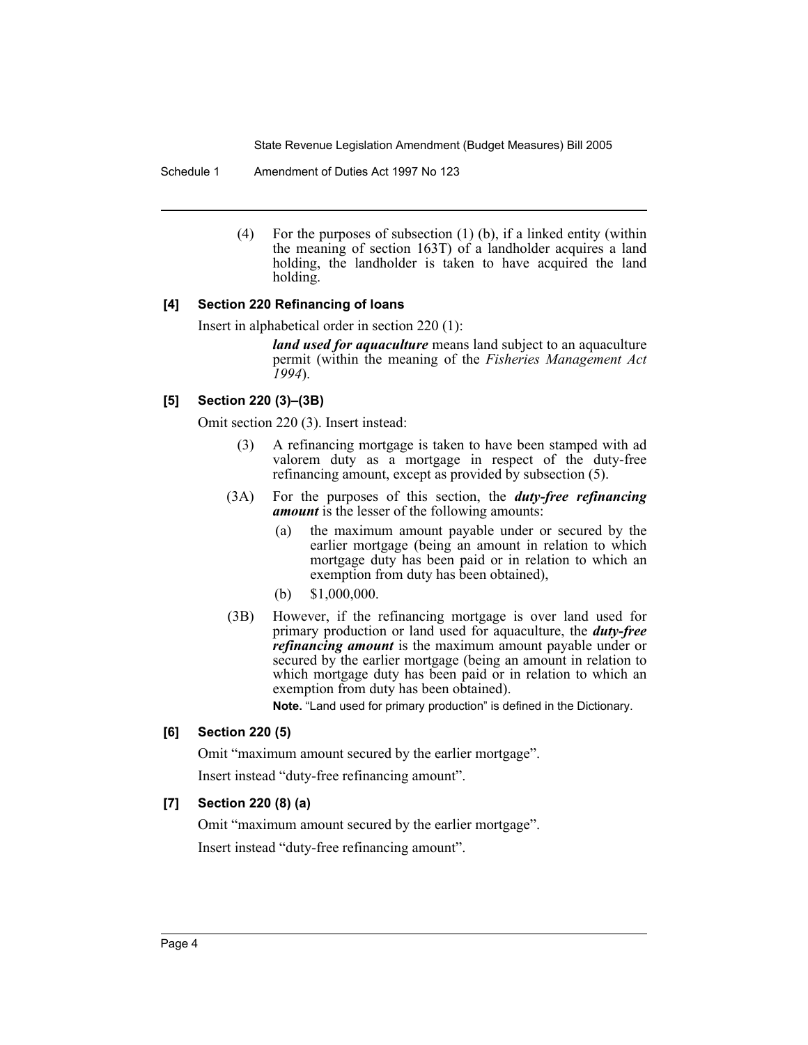Schedule 1 Amendment of Duties Act 1997 No 123

(4) For the purposes of subsection (1) (b), if a linked entity (within the meaning of section 163T) of a landholder acquires a land holding, the landholder is taken to have acquired the land holding.

#### **[4] Section 220 Refinancing of loans**

Insert in alphabetical order in section 220 (1):

*land used for aquaculture* means land subject to an aquaculture permit (within the meaning of the *Fisheries Management Act 1994*).

#### **[5] Section 220 (3)–(3B)**

Omit section 220 (3). Insert instead:

- (3) A refinancing mortgage is taken to have been stamped with ad valorem duty as a mortgage in respect of the duty-free refinancing amount, except as provided by subsection (5).
- (3A) For the purposes of this section, the *duty-free refinancing amount* is the lesser of the following amounts:
	- (a) the maximum amount payable under or secured by the earlier mortgage (being an amount in relation to which mortgage duty has been paid or in relation to which an exemption from duty has been obtained),
	- (b) \$1,000,000.
- (3B) However, if the refinancing mortgage is over land used for primary production or land used for aquaculture, the *duty-free refinancing amount* is the maximum amount payable under or secured by the earlier mortgage (being an amount in relation to which mortgage duty has been paid or in relation to which an exemption from duty has been obtained).

**Note.** "Land used for primary production" is defined in the Dictionary.

#### **[6] Section 220 (5)**

Omit "maximum amount secured by the earlier mortgage".

Insert instead "duty-free refinancing amount".

#### **[7] Section 220 (8) (a)**

Omit "maximum amount secured by the earlier mortgage".

Insert instead "duty-free refinancing amount".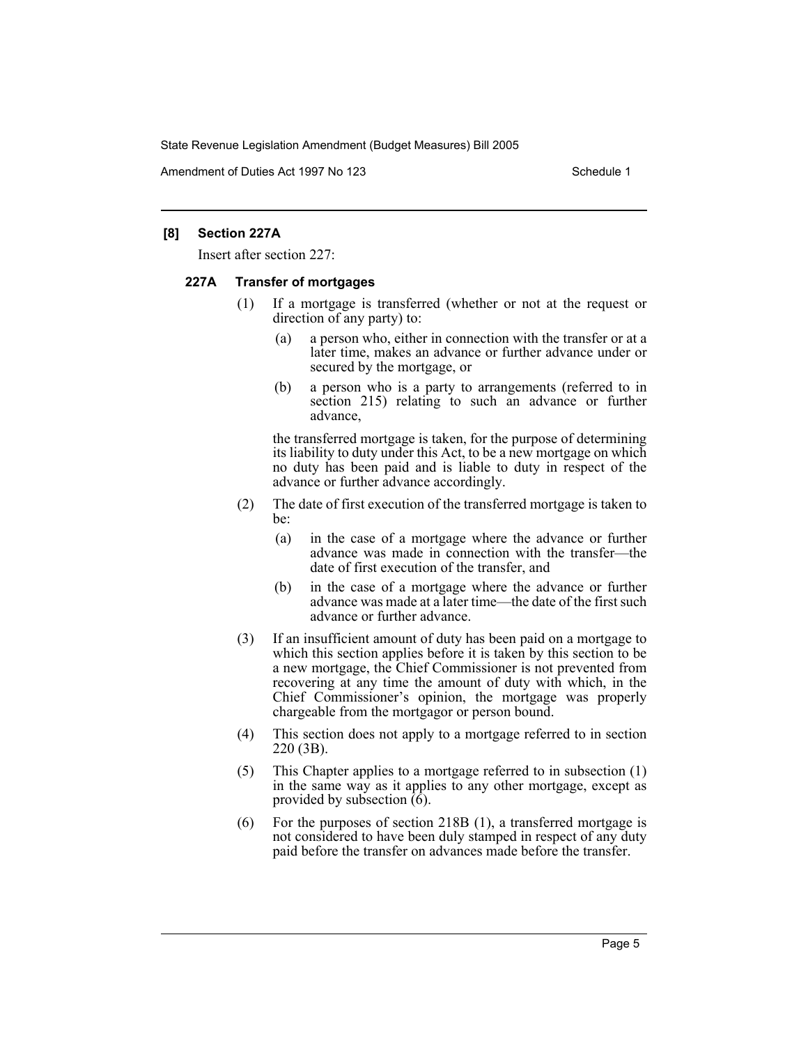Amendment of Duties Act 1997 No 123 Schedule 1

#### **[8] Section 227A**

Insert after section 227:

#### **227A Transfer of mortgages**

- (1) If a mortgage is transferred (whether or not at the request or direction of any party) to:
	- (a) a person who, either in connection with the transfer or at a later time, makes an advance or further advance under or secured by the mortgage, or
	- (b) a person who is a party to arrangements (referred to in section 215) relating to such an advance or further advance,

the transferred mortgage is taken, for the purpose of determining its liability to duty under this Act, to be a new mortgage on which no duty has been paid and is liable to duty in respect of the advance or further advance accordingly.

- (2) The date of first execution of the transferred mortgage is taken to be:
	- (a) in the case of a mortgage where the advance or further advance was made in connection with the transfer—the date of first execution of the transfer, and
	- (b) in the case of a mortgage where the advance or further advance was made at a later time—the date of the first such advance or further advance.
- (3) If an insufficient amount of duty has been paid on a mortgage to which this section applies before it is taken by this section to be a new mortgage, the Chief Commissioner is not prevented from recovering at any time the amount of duty with which, in the Chief Commissioner's opinion, the mortgage was properly chargeable from the mortgagor or person bound.
- (4) This section does not apply to a mortgage referred to in section 220 (3B).
- (5) This Chapter applies to a mortgage referred to in subsection (1) in the same way as it applies to any other mortgage, except as provided by subsection  $(\hat{6})$ .
- (6) For the purposes of section 218B (1), a transferred mortgage is not considered to have been duly stamped in respect of any duty paid before the transfer on advances made before the transfer.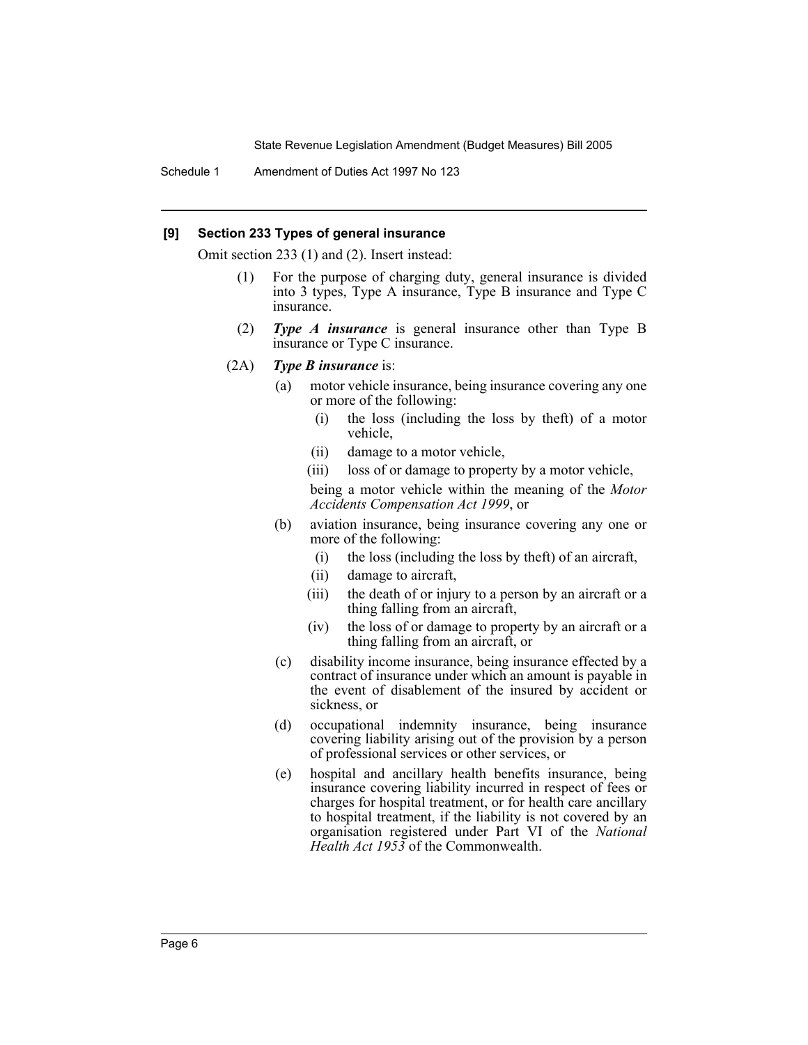Schedule 1 Amendment of Duties Act 1997 No 123

#### **[9] Section 233 Types of general insurance**

Omit section 233 (1) and (2). Insert instead:

- (1) For the purpose of charging duty, general insurance is divided into 3 types, Type A insurance, Type B insurance and Type C insurance.
- (2) *Type A insurance* is general insurance other than Type B insurance or Type C insurance.
- (2A) *Type B insurance* is:
	- (a) motor vehicle insurance, being insurance covering any one or more of the following:
		- (i) the loss (including the loss by theft) of a motor vehicle,
		- (ii) damage to a motor vehicle,
		- (iii) loss of or damage to property by a motor vehicle,

being a motor vehicle within the meaning of the *Motor Accidents Compensation Act 1999*, or

- (b) aviation insurance, being insurance covering any one or more of the following:
	- (i) the loss (including the loss by theft) of an aircraft,
	- (ii) damage to aircraft,
	- (iii) the death of or injury to a person by an aircraft or a thing falling from an aircraft,
	- (iv) the loss of or damage to property by an aircraft or a thing falling from an aircraft, or
- (c) disability income insurance, being insurance effected by a contract of insurance under which an amount is payable in the event of disablement of the insured by accident or sickness, or
- (d) occupational indemnity insurance, being insurance covering liability arising out of the provision by a person of professional services or other services, or
- (e) hospital and ancillary health benefits insurance, being insurance covering liability incurred in respect of fees or charges for hospital treatment, or for health care ancillary to hospital treatment, if the liability is not covered by an organisation registered under Part VI of the *National Health Act 1953* of the Commonwealth.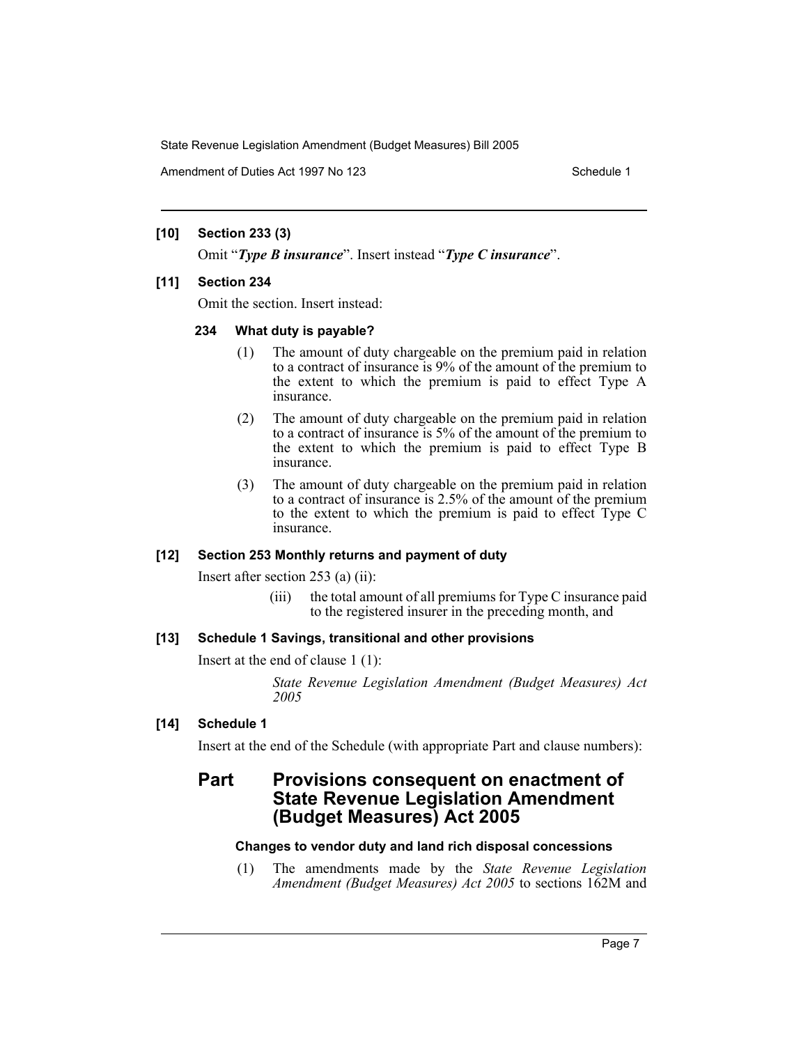Amendment of Duties Act 1997 No 123 Schedule 1

#### **[10] Section 233 (3)**

Omit "*Type B insurance*". Insert instead "*Type C insurance*".

#### **[11] Section 234**

Omit the section. Insert instead:

#### **234 What duty is payable?**

- (1) The amount of duty chargeable on the premium paid in relation to a contract of insurance is 9% of the amount of the premium to the extent to which the premium is paid to effect Type A insurance.
- (2) The amount of duty chargeable on the premium paid in relation to a contract of insurance is 5% of the amount of the premium to the extent to which the premium is paid to effect Type B insurance.
- (3) The amount of duty chargeable on the premium paid in relation to a contract of insurance is 2.5% of the amount of the premium to the extent to which the premium is paid to effect Type C insurance.

#### **[12] Section 253 Monthly returns and payment of duty**

Insert after section 253 (a) (ii):

(iii) the total amount of all premiums for Type C insurance paid to the registered insurer in the preceding month, and

#### **[13] Schedule 1 Savings, transitional and other provisions**

Insert at the end of clause 1 (1):

*State Revenue Legislation Amendment (Budget Measures) Act 2005*

#### **[14] Schedule 1**

Insert at the end of the Schedule (with appropriate Part and clause numbers):

## **Part Provisions consequent on enactment of State Revenue Legislation Amendment (Budget Measures) Act 2005**

#### **Changes to vendor duty and land rich disposal concessions**

(1) The amendments made by the *State Revenue Legislation Amendment (Budget Measures) Act 2005* to sections 162M and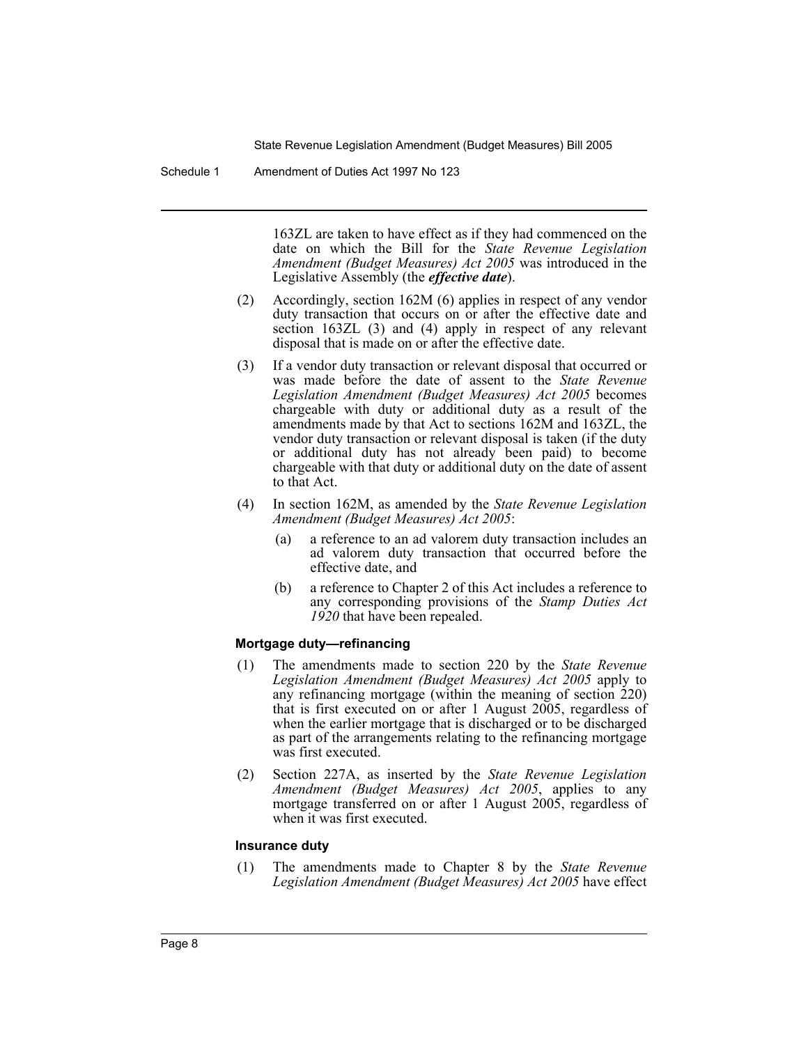Schedule 1 Amendment of Duties Act 1997 No 123

163ZL are taken to have effect as if they had commenced on the date on which the Bill for the *State Revenue Legislation Amendment (Budget Measures) Act 2005* was introduced in the Legislative Assembly (the *effective date*).

- (2) Accordingly, section 162M (6) applies in respect of any vendor duty transaction that occurs on or after the effective date and section 163ZL (3) and (4) apply in respect of any relevant disposal that is made on or after the effective date.
- (3) If a vendor duty transaction or relevant disposal that occurred or was made before the date of assent to the *State Revenue Legislation Amendment (Budget Measures) Act 2005* becomes chargeable with duty or additional duty as a result of the amendments made by that Act to sections 162M and 163ZL, the vendor duty transaction or relevant disposal is taken (if the duty or additional duty has not already been paid) to become chargeable with that duty or additional duty on the date of assent to that Act.
- (4) In section 162M, as amended by the *State Revenue Legislation Amendment (Budget Measures) Act 2005*:
	- (a) a reference to an ad valorem duty transaction includes an ad valorem duty transaction that occurred before the effective date, and
	- (b) a reference to Chapter 2 of this Act includes a reference to any corresponding provisions of the *Stamp Duties Act 1920* that have been repealed.

#### **Mortgage duty—refinancing**

- (1) The amendments made to section 220 by the *State Revenue Legislation Amendment (Budget Measures) Act 2005* apply to any refinancing mortgage (within the meaning of section 220) that is first executed on or after 1 August 2005, regardless of when the earlier mortgage that is discharged or to be discharged as part of the arrangements relating to the refinancing mortgage was first executed.
- (2) Section 227A, as inserted by the *State Revenue Legislation Amendment (Budget Measures) Act 2005*, applies to any mortgage transferred on or after 1 August 2005, regardless of when it was first executed.

#### **Insurance duty**

(1) The amendments made to Chapter 8 by the *State Revenue Legislation Amendment (Budget Measures) Act 2005* have effect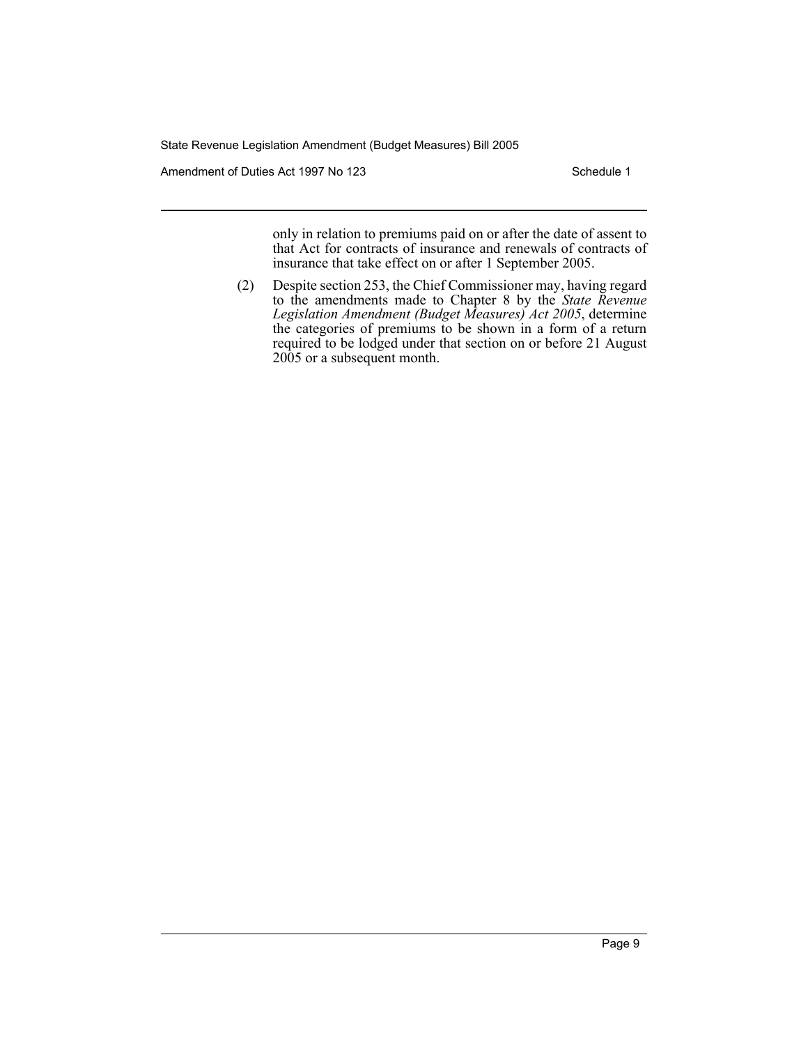Amendment of Duties Act 1997 No 123 Schedule 1

only in relation to premiums paid on or after the date of assent to that Act for contracts of insurance and renewals of contracts of insurance that take effect on or after 1 September 2005.

(2) Despite section 253, the Chief Commissioner may, having regard to the amendments made to Chapter 8 by the *State Revenue Legislation Amendment (Budget Measures) Act 2005*, determine the categories of premiums to be shown in a form of a return required to be lodged under that section on or before 21 August 2005 or a subsequent month.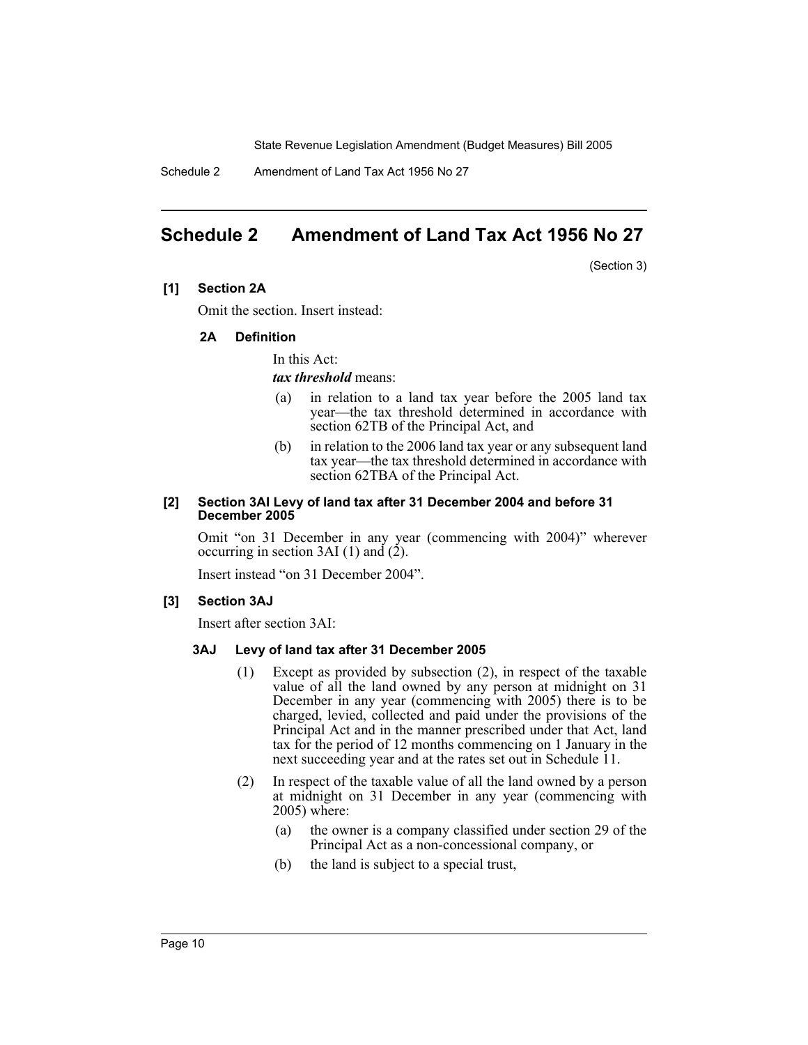Schedule 2 Amendment of Land Tax Act 1956 No 27

# **Schedule 2 Amendment of Land Tax Act 1956 No 27**

(Section 3)

#### **[1] Section 2A**

Omit the section. Insert instead:

#### **2A Definition**

In this Act:

#### *tax threshold* means:

- (a) in relation to a land tax year before the 2005 land tax year—the tax threshold determined in accordance with section 62TB of the Principal Act, and
- (b) in relation to the 2006 land tax year or any subsequent land tax year—the tax threshold determined in accordance with section 62TBA of the Principal Act.

#### **[2] Section 3AI Levy of land tax after 31 December 2004 and before 31 December 2005**

Omit "on 31 December in any year (commencing with 2004)" wherever occurring in section 3AI (1) and  $(2)$ .

Insert instead "on 31 December 2004".

#### **[3] Section 3AJ**

Insert after section 3AI:

#### **3AJ Levy of land tax after 31 December 2005**

- (1) Except as provided by subsection (2), in respect of the taxable value of all the land owned by any person at midnight on 31 December in any year (commencing with 2005) there is to be charged, levied, collected and paid under the provisions of the Principal Act and in the manner prescribed under that Act, land tax for the period of 12 months commencing on 1 January in the next succeeding year and at the rates set out in Schedule 11.
- (2) In respect of the taxable value of all the land owned by a person at midnight on 31 December in any year (commencing with 2005) where:
	- (a) the owner is a company classified under section 29 of the Principal Act as a non-concessional company, or
	- (b) the land is subject to a special trust,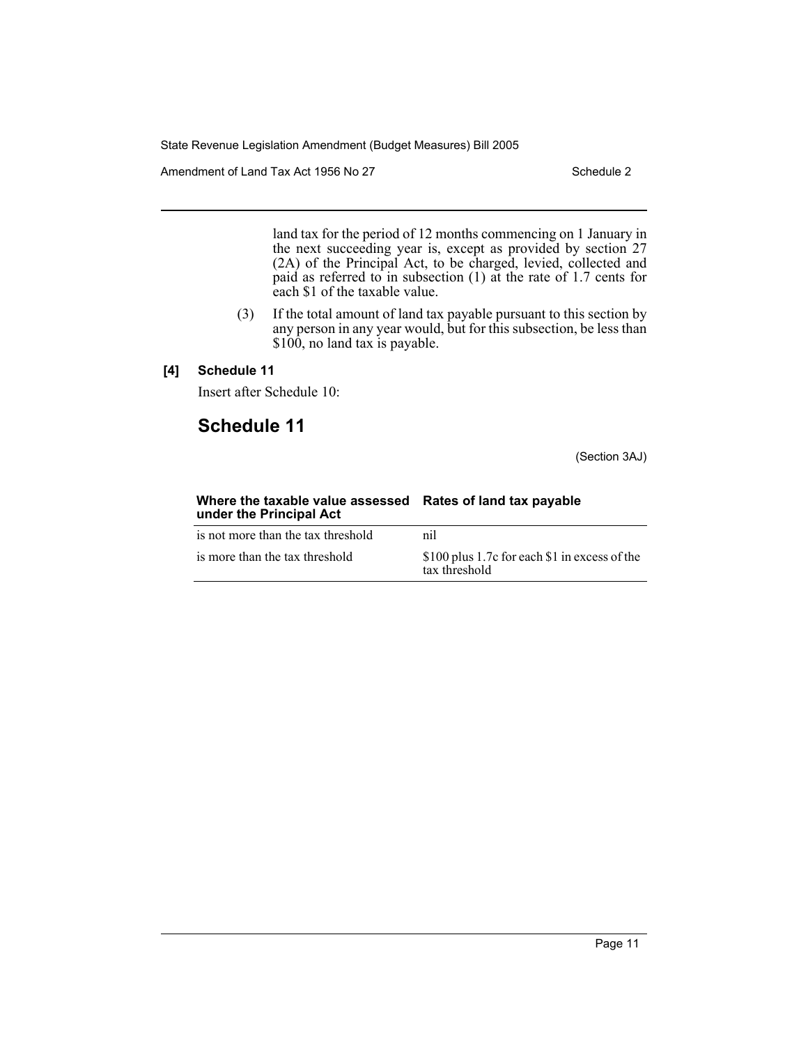Amendment of Land Tax Act 1956 No 27 Schedule 2

land tax for the period of 12 months commencing on 1 January in the next succeeding year is, except as provided by section 27 (2A) of the Principal Act, to be charged, levied, collected and paid as referred to in subsection  $(1)$  at the rate of 1.7 cents for each \$1 of the taxable value.

(3) If the total amount of land tax payable pursuant to this section by any person in any year would, but for this subsection, be less than \$100, no land tax is payable.

### **[4] Schedule 11**

Insert after Schedule 10:

# **Schedule 11**

(Section 3AJ)

| Where the taxable value assessed<br>under the Principal Act | Rates of land tax payable                                      |  |
|-------------------------------------------------------------|----------------------------------------------------------------|--|
| is not more than the tax threshold                          | nil                                                            |  |
| is more than the tax threshold                              | \$100 plus 1.7c for each \$1 in excess of the<br>tax threshold |  |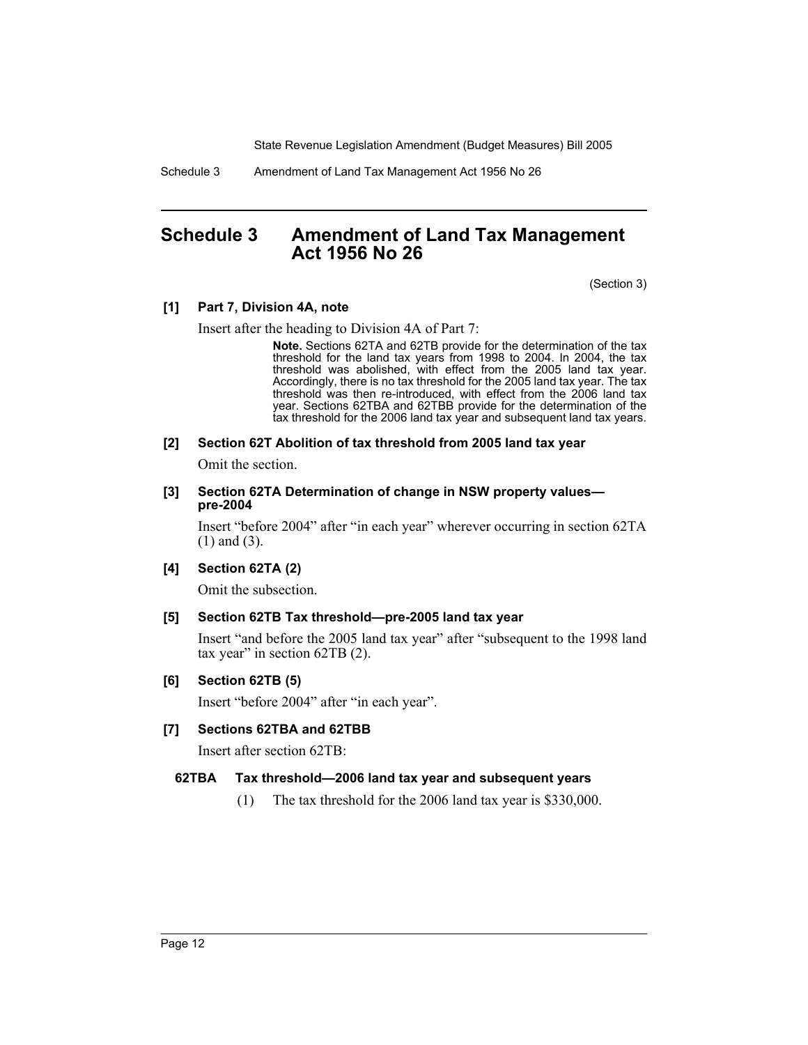Schedule 3 Amendment of Land Tax Management Act 1956 No 26

## **Schedule 3 Amendment of Land Tax Management Act 1956 No 26**

(Section 3)

#### **[1] Part 7, Division 4A, note**

Insert after the heading to Division 4A of Part 7:

**Note.** Sections 62TA and 62TB provide for the determination of the tax threshold for the land tax years from 1998 to 2004. In 2004, the tax threshold was abolished, with effect from the 2005 land tax year. Accordingly, there is no tax threshold for the 2005 land tax year. The tax threshold was then re-introduced, with effect from the 2006 land tax year. Sections 62TBA and 62TBB provide for the determination of the tax threshold for the 2006 land tax year and subsequent land tax years.

#### **[2] Section 62T Abolition of tax threshold from 2005 land tax year**

Omit the section.

#### **[3] Section 62TA Determination of change in NSW property values pre-2004**

Insert "before 2004" after "in each year" wherever occurring in section 62TA (1) and (3).

#### **[4] Section 62TA (2)**

Omit the subsection.

#### **[5] Section 62TB Tax threshold—pre-2005 land tax year**

Insert "and before the 2005 land tax year" after "subsequent to the 1998 land tax year" in section 62TB (2).

#### **[6] Section 62TB (5)**

Insert "before 2004" after "in each year".

#### **[7] Sections 62TBA and 62TBB**

Insert after section 62TB:

#### **62TBA Tax threshold—2006 land tax year and subsequent years**

(1) The tax threshold for the 2006 land tax year is \$330,000.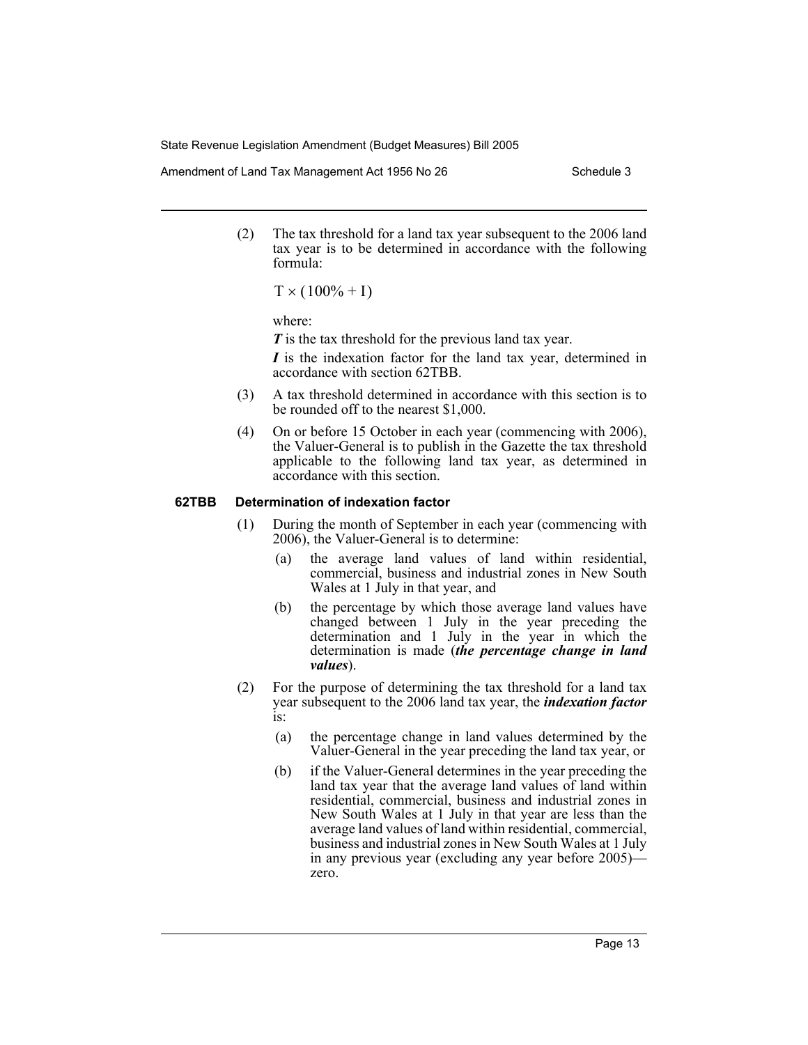Amendment of Land Tax Management Act 1956 No 26 Schedule 3

(2) The tax threshold for a land tax year subsequent to the 2006 land tax year is to be determined in accordance with the following formula:

 $T \times (100\% + I)$ 

where:

*T* is the tax threshold for the previous land tax year.

*I* is the indexation factor for the land tax year, determined in accordance with section 62TBB.

- (3) A tax threshold determined in accordance with this section is to be rounded off to the nearest \$1,000.
- (4) On or before 15 October in each year (commencing with 2006), the Valuer-General is to publish in the Gazette the tax threshold applicable to the following land tax year, as determined in accordance with this section.

#### **62TBB Determination of indexation factor**

- (1) During the month of September in each year (commencing with 2006), the Valuer-General is to determine:
	- (a) the average land values of land within residential, commercial, business and industrial zones in New South Wales at 1 July in that year, and
	- (b) the percentage by which those average land values have changed between 1 July in the year preceding the determination and 1 July in the year in which the determination is made (*the percentage change in land values*).
- (2) For the purpose of determining the tax threshold for a land tax year subsequent to the 2006 land tax year, the *indexation factor* is:
	- (a) the percentage change in land values determined by the Valuer-General in the year preceding the land tax year, or
	- (b) if the Valuer-General determines in the year preceding the land tax year that the average land values of land within residential, commercial, business and industrial zones in New South Wales at 1 July in that year are less than the average land values of land within residential, commercial, business and industrial zones in New South Wales at 1 July in any previous year (excluding any year before 2005) zero.